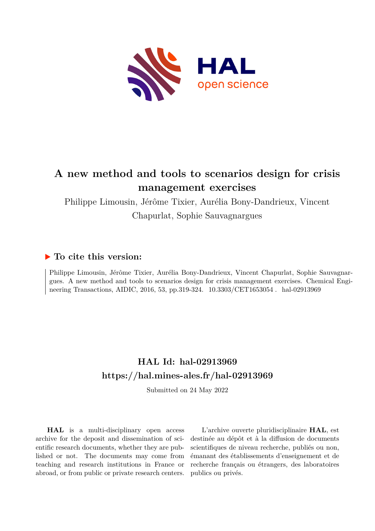

# **A new method and tools to scenarios design for crisis management exercises**

Philippe Limousin, Jérôme Tixier, Aurélia Bony-Dandrieux, Vincent Chapurlat, Sophie Sauvagnargues

### **To cite this version:**

Philippe Limousin, Jérôme Tixier, Aurélia Bony-Dandrieux, Vincent Chapurlat, Sophie Sauvagnargues. A new method and tools to scenarios design for crisis management exercises. Chemical Engineering Transactions, AIDIC, 2016, 53, pp.319-324. 10.3303/CET1653054. hal-02913969

### **HAL Id: hal-02913969 <https://hal.mines-ales.fr/hal-02913969>**

Submitted on 24 May 2022

**HAL** is a multi-disciplinary open access archive for the deposit and dissemination of scientific research documents, whether they are published or not. The documents may come from teaching and research institutions in France or abroad, or from public or private research centers.

L'archive ouverte pluridisciplinaire **HAL**, est destinée au dépôt et à la diffusion de documents scientifiques de niveau recherche, publiés ou non, émanant des établissements d'enseignement et de recherche français ou étrangers, des laboratoires publics ou privés.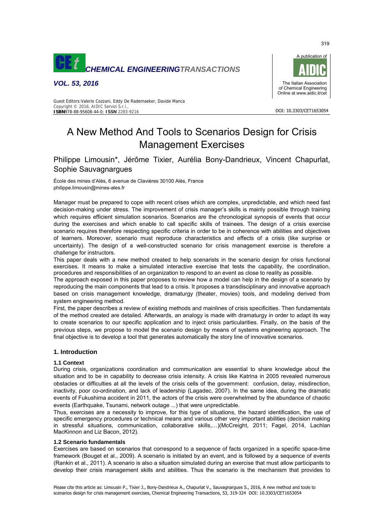

*VOL. 53, 2016* 



DOI: 10.3303/CET1653054

Guest Editors:Valerio Cozzani, Eddy De Rademaeker, Davide Manca Copyright © 2016, AIDIC Servizi S.r.l., **ISBN**978-88-95608-44-0; **ISSN** 2283-9216

## A New Method And Tools to Scenarios Design for Crisis Management Exercises

Philippe Limousin\*, Jérôme Tixier, Aurélia Bony-Dandrieux, Vincent Chapurlat, Sophie Sauvagnargues

École des mines d'Alès, 6 avenue de Clavières 30100 Alès, France philippe.limousin@mines-ales.fr

Manager must be prepared to cope with recent crises which are complex, unpredictable, and which need fast decision-making under stress. The improvement of crisis manager's skills is mainly possible through training which requires efficient simulation scenarios. Scenarios are the chronological synopsis of events that occur during the exercises and which enable to call specific skills of trainees. The design of a crisis exercise scenario requires therefore respecting specific criteria in order to be in coherence with abilities and objectives of learners. Moreover, scenario must reproduce characteristics and effects of a crisis (like surprise or uncertainty). The design of a well-constructed scenario for crisis management exercise is therefore a challenge for instructors.

This paper deals with a new method created to help scenarists in the scenario design for crisis functional exercises. It means to make a simulated interactive exercise that tests the capability, the coordination, procedures and responsibilities of an organization to respond to an event as close to reality as possible.

The approach exposed in this paper proposes to review how a model can help in the design of a scenario by reproducing the main components that lead to a crisis. It proposes a transdisciplinary and innovative approach based on crisis management knowledge, dramaturgy (theater, movies) tools, and modeling derived from system engineering method.

First, the paper describes a review of existing methods and mainlines of crisis specificities. Then fundamentals of the method created are detailed. Afterwards, an analogy is made with dramaturgy in order to adapt its way to create scenarios to our specific application and to inject crisis particularities. Finally, on the basis of the previous steps, we propose to model the scenario design by means of systems engineering approach. The final objective is to develop a tool that generates automatically the story line of innovative scenarios.

### **1. Introduction**

#### **1.1 Context**

During crisis, organizations coordination and communication are essential to share knowledge about the situation and to be in capability to decrease crisis intensity. A crisis like Katrina in 2005 revealed numerous obstacles or difficulties at all the levels of the crisis cells of the government: confusion, delay, misdirection, inactivity, poor co-ordination, and lack of leadership (Lagadec, 2007). In the same idea, during the dramatic events of Fukushima accident in 2011, the actors of the crisis were overwhelmed by the abundance of chaotic events (Earthquake, Tsunami, network outage ...) that were unpredictable.

Thus, exercises are a necessity to improve, for this type of situations, the hazard identification, the use of specific emergency procedures or technical means and various other very important abilities (decision making in stressful situations, communication, collaborative skills,…)(McCreight, 2011; Fagel, 2014, Lachlan MacKinnon and Liz Bacon, 2012).

#### **1.2 Scenario fundamentals**

Exercises are based on scenarios that correspond to a sequence of facts organized in a specific space-time framework (Bouget et al., 2009). A scenario is initiated by an event, and is followed by a sequence of events (Rankin et al., 2011). A scenario is also a situation simulated during an exercise that must allow participants to develop their crisis management skills and abilities. Thus the scenario is the mechanism that provides to

Please cite this article as: Limousin P., Tixier J., Bony-Dandrieux A., Chapurlat V., Sauvagnargues S., 2016, A new method and tools to scenarios design for crisis management exercises, Chemical Engineering Transactions, 53, 319-324 DOI: 10.3303/CET1653054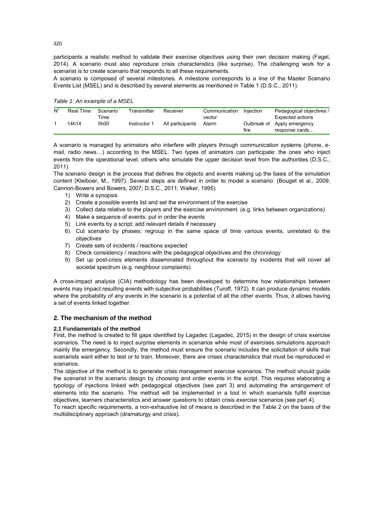participants a realistic method to validate their exercise objectives using their own decision making (Fagel, 2014). A scenario must also reproduce crisis characteristics (like surprise). The challenging work for a scenarist is to create scenario that responds to all these requirements.

A scenario is composed of several milestones. A milestone corresponds to a line of the Master Scenario Events List (MSEL) and is described by several elements as mentioned in Table 1 (D.S.C., 2011).

*Table 1: An example of a MSEL* 

| $N^{\circ}$ | Real Time | Scenario<br>⊺ime | Transmitter  | Receiver         | Communication<br>vector | Injection | Pedagogical objectives /<br>Expected actions  |  |  |
|-------------|-----------|------------------|--------------|------------------|-------------------------|-----------|-----------------------------------------------|--|--|
|             | 14h14     | 0h00             | Instructor 1 | All participants | Alarm                   | fire      | Outbreak of Apply emergency<br>response cards |  |  |

A scenario is managed by animators who interfere with players through communication systems (phone, email, radio news…) according to the MSEL. Two types of animators can participate: the ones who inject events from the operational level; others who simulate the upper decision level from the authorities (D.S.C., 2011).

The scenario design is the process that defines the objects and events making up the basis of the simulation content (Kleiboer, M., 1997). Several steps are defined in order to model a scenario: (Bouget et al., 2009; Cannon-Bowers and Bowers, 2007; D.S.C., 2011; Walker, 1995)

- 1) Write a synopsis
- 2) Create a possible events list and set the environment of the exercise
- 3) Collect data relative to the players and the exercise environment. (e.g. links between organizations)
- 4) Make a sequence of events: put in order the events
- 5) Link events by a script: add relevant details if necessary
- 6) Cut scenario by phases: regroup in the same space of time various events, unrelated to the objectives
- 7) Create sets of incidents / reactions expected
- 8) Check consistency / reactions with the pedagogical objectives and the chronology
- 9) Set up post-crisis elements disseminated throughout the scenario by incidents that will cover all societal spectrum (e.g. neighbour complaints)

A cross-impact analysis (CIA) methodology has been developed to determine how relationships between events may impact resulting events with subjective probabilities (Turoff, 1972). It can produce dynamic models where the probability of any events in the scenario is a potential of all the other events. Thus, it allows having a set of events linked together.

### **2. The mechanism of the method**

### **2.1 Fundamentals of the method**

First, the method is created to fill gaps identified by Lagadec (Lagadec, 2015) in the design of crisis exercise scenarios. The need is to inject surprise elements in scenarios while most of exercises simulations approach mainly the emergency. Secondly, the method must ensure the scenario includes the solicitation of skills that scenarists want either to test or to train. Moreover, there are crises characteristics that must be reproduced in scenarios.

The objective of the method is to generate crisis management exercise scenarios. The method should guide the scenarist in the scenario design by choosing and order events in the script. This requires elaborating a typology of injections linked with pedagogical objectives (see part 3) and automating the arrangement of elements into the scenario. The method will be implemented in a tool in which scenarists fulfill exercise objectives, learners characteristics and answer questions to obtain crisis exercise scenarios (see part 4).

To reach specific requirements, a non-exhaustive list of means is described in the Table 2 on the basis of the multidisciplinary approach (dramaturgy and crisis).

320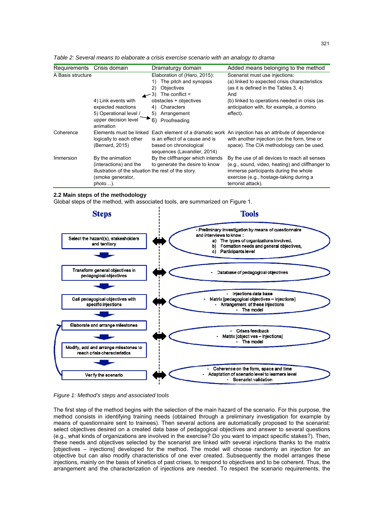| Table 2: Several means to elaborate a crisis exercise scenario with an analogy to drama |  |  |  |  |  |
|-----------------------------------------------------------------------------------------|--|--|--|--|--|
|                                                                                         |  |  |  |  |  |

| Crisis domain<br>Requirements |                                                                                                                                       | Dramaturgy domain                                                                                                                                                                             | Added means belonging to the method                                                                                                                                                                                                      |  |  |
|-------------------------------|---------------------------------------------------------------------------------------------------------------------------------------|-----------------------------------------------------------------------------------------------------------------------------------------------------------------------------------------------|------------------------------------------------------------------------------------------------------------------------------------------------------------------------------------------------------------------------------------------|--|--|
| A Basis structure             | $\leftarrow$ 3)<br>4) Link events with<br>expected reactions<br>5) Operational level /<br>upper decision level                        | Elaboration of (Haro, 2015):<br>The pitch and synopsis<br>1)<br>Objectives<br>2)<br>The conflict $=$<br>obstacles + objectives<br>Characters<br>4)<br>Arrangement<br>5)<br>6)<br>Proofreading | Scenarist must use injections:<br>(a) linked to expected crisis characteristics<br>(as it is defined in the Tables 3, 4)<br>And<br>(b) linked to operations needed in crisis (as<br>anticipation with, for example, a domino<br>effect). |  |  |
| Coherence                     | animation<br>Elements must be linked<br>logically to each other<br>(Bernard, 2015)                                                    | is an effect of a cause and is<br>based on chronological<br>sequences (Lavandier, 2014)                                                                                                       | Each element of a dramatic work An injection has an attribute of dependence<br>with another injection (on the form, time or<br>space). The CIA methodology can be used.                                                                  |  |  |
| Immersion                     | By the animation<br>(interactions) and the<br>illustration of the situation the rest of the story.<br>(smoke generator,<br>$photo$ ). | By the cliffhanger which intends<br>to generate the desire to know                                                                                                                            | By the use of all devices to reach all senses<br>(e.g., sound, video, heating) and cliffhanger to<br>immerse participants during the whole<br>exercise (e.g., hostage-taking during a<br>terrorist attack).                              |  |  |

#### **2.2 Main steps of the methodology**

Global steps of the method, with associated tools, are summarized on Figure 1.



*Figure 1: Method's steps and associated tools* 

The first step of the method begins with the selection of the main hazard of the scenario. For this purpose, the method consists in identifying training needs (obtained through a preliminary investigation for example by means of questionnaire sent to trainees). Then several actions are automatically proposed to the scenarist: select objectives desired on a created data base of pedagogical objectives and answer to several questions (e.g., what kinds of organizations are involved in the exercise? Do you want to impact specific stakes?). Then, these needs and objectives selected by the scenarist are linked with several injections thanks to the matrix [objectives – injections] developed for the method. The model will choose randomly an injection for an objective but can also modify characteristics of one ever created. Subsequently the model arranges these injections, mainly on the basis of kinetics of past crises, to respond to objectives and to be coherent. Thus, the arrangement and the characterization of injections are needed. To respect the scenario requirements, the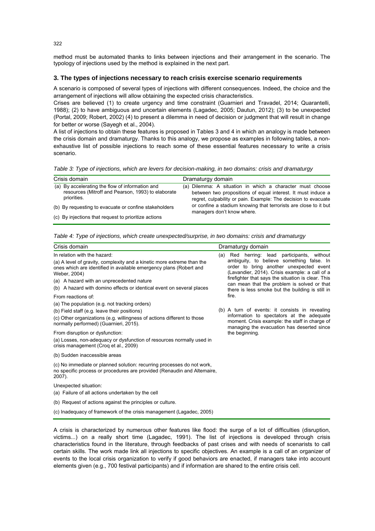method must be automated thanks to links between injections and their arrangement in the scenario. The typology of injections used by the method is explained in the next part.

#### **3. The types of injections necessary to reach crisis exercise scenario requirements**

A scenario is composed of several types of injections with different consequences. Indeed, the choice and the arrangement of injections will allow obtaining the expected crisis characteristics.

Crises are believed (1) to create urgency and time constraint (Guarnieri and Travadel, 2014; Quarantelli, 1988); (2) to have ambiguous and uncertain elements (Lagadec, 2005; Dautun, 2012); (3) to be unexpected (Portal, 2009; Robert, 2002) (4) to present a dilemma in need of decision or judgment that will result in change for better or worse (Sayegh et al., 2004).

A list of injections to obtain these features is proposed in Tables 3 and 4 in which an analogy is made between the crisis domain and dramaturgy. Thanks to this analogy, we propose as examples in following tables, a nonexhaustive list of possible injections to reach some of these essential features necessary to write a crisis scenario.

*Table 3: Type of injections, which are levers for decision-making, in two domains: crisis and dramaturgy* 

| Crisis domain                                                                                                        | Dramaturgy domain                                                                                                                                                                           |
|----------------------------------------------------------------------------------------------------------------------|---------------------------------------------------------------------------------------------------------------------------------------------------------------------------------------------|
| (a) By accelerating the flow of information and<br>resources (Mitroff and Pearson, 1993) to elaborate<br>priorities. | (a) Dilemma: A situation in which a character must choose<br>between two propositions of equal interest. It must induce a<br>regret, culpability or pain. Example: The decision to evacuate |
| (b) By requesting to evacuate or confine stakeholders                                                                | or confine a stadium knowing that terrorists are close to it but<br>managers don't know where.                                                                                              |
| (c) By injections that request to prioritize actions                                                                 |                                                                                                                                                                                             |

*Table 4: Type of injections, which create unexpected/surprise, in two domains: crisis and dramaturgy* 

#### Crisis domain **Dramaturgy domain** Dramaturgy domain

#### In relation with the hazard: (a) A level of gravity, complexity and a kinetic more extreme than the ones which are identified in available emergency plans (Robert and Weber, 2004) (a) A hazard with an unprecedented nature (b) A hazard with domino effects or identical event on several places From reactions of: (a) The population (e.g. not tracking orders) (b) Field staff (e.g. leave their positions) (c) Other organizations (e.g. willingness of actions different to those normally performed) (Guarnieri, 2015). From disruption or dysfunction: (a) Losses, non-adequacy or dysfunction of resources normally used in crisis management (Croq et al., 2009) (b) Sudden inaccessible areas (c) No immediate or planned solution: recurring processes do not work, no specific process or procedures are provided (Renaudin and Altemaire, 2007). (a) Red herring: lead participants, without ambiguity, to believe something false. In order to bring another unexpected event (Lavandier, 2014). Crisis example: a call of a firefighter that says the situation is clear. This can mean that the problem is solved or that there is less smoke but the building is still in fire. (b) A turn of events: it consists in revealing information to spectators at the adequate moment. Crisis example: the staff in charge of managing the evacuation has deserted since the beginning.

Unexpected situation:

- (a) Failure of all actions undertaken by the cell
- (b) Request of actions against the principles or culture.

(c) Inadequacy of framework of the crisis management (Lagadec, 2005)

A crisis is characterized by numerous other features like flood: the surge of a lot of difficulties (disruption, victims...) on a really short time (Lagadec, 1991). The list of injections is developed through crisis characteristics found in the literature, through feedbacks of past crises and with needs of scenarists to call certain skills. The work made link all injections to specific objectives. An example is a call of an organizer of events to the local crisis organization to verify if good behaviors are enacted, if managers take into account elements given (e.g., 700 festival participants) and if information are shared to the entire crisis cell.

322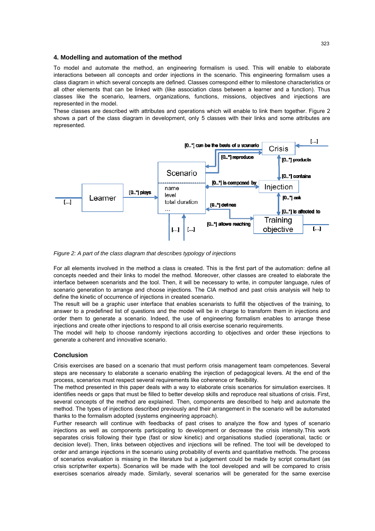#### **4. Modelling and automation of the method**

To model and automate the method, an engineering formalism is used. This will enable to elaborate interactions between all concepts and order injections in the scenario. This engineering formalism uses a class diagram in which several concepts are defined. Classes correspond either to milestone characteristics or all other elements that can be linked with (like association class between a learner and a function). Thus classes like the scenario, learners, organizations, functions, missions, objectives and injections are represented in the model.

These classes are described with attributes and operations which will enable to link them together. Figure 2 shows a part of the class diagram in development, only 5 classes with their links and some attributes are represented.



*Figure 2: A part of the class diagram that describes typology of injections* 

For all elements involved in the method a class is created. This is the first part of the automation: define all concepts needed and their links to model the method. Moreover, other classes are created to elaborate the interface between scenarists and the tool. Then, it will be necessary to write, in computer language, rules of scenario generation to arrange and choose injections. The CIA method and past crisis analysis will help to define the kinetic of occurrence of injections in created scenario.

The result will be a graphic user interface that enables scenarists to fulfill the objectives of the training, to answer to a predefined list of questions and the model will be in charge to transform them in injections and order them to generate a scenario. Indeed, the use of engineering formalism enables to arrange these injections and create other injections to respond to all crisis exercise scenario requirements.

The model will help to choose randomly injections according to objectives and order these injections to generate a coherent and innovative scenario.

#### **Conclusion**

Crisis exercises are based on a scenario that must perform crisis management team competences. Several steps are necessary to elaborate a scenario enabling the injection of pedagogical levers. At the end of the process, scenarios must respect several requirements like coherence or flexibility.

The method presented in this paper deals with a way to elaborate crisis scenarios for simulation exercises. It identifies needs or gaps that must be filled to better develop skills and reproduce real situations of crisis. First, several concepts of the method are explained. Then, components are described to help and automate the method. The types of injections described previously and their arrangement in the scenario will be automated thanks to the formalism adopted (systems engineering approach).

Further research will continue with feedbacks of past crises to analyze the flow and types of scenario injections as well as components participating to development or decrease the crisis intensity.This work separates crisis following their type (fast or slow kinetic) and organisations studied (operational, tactic or decision level). Then, links between objectives and injections will be refined. The tool will be developed to order and arrange injections in the scenario using probability of events and quantitative methods. The process of scenarios evaluation is missing in the literature but a judgement could be made by script consultant (as crisis scriptwriter experts). Scenarios will be made with the tool developed and will be compared to crisis exercises scenarios already made. Similarly, several scenarios will be generated for the same exercise